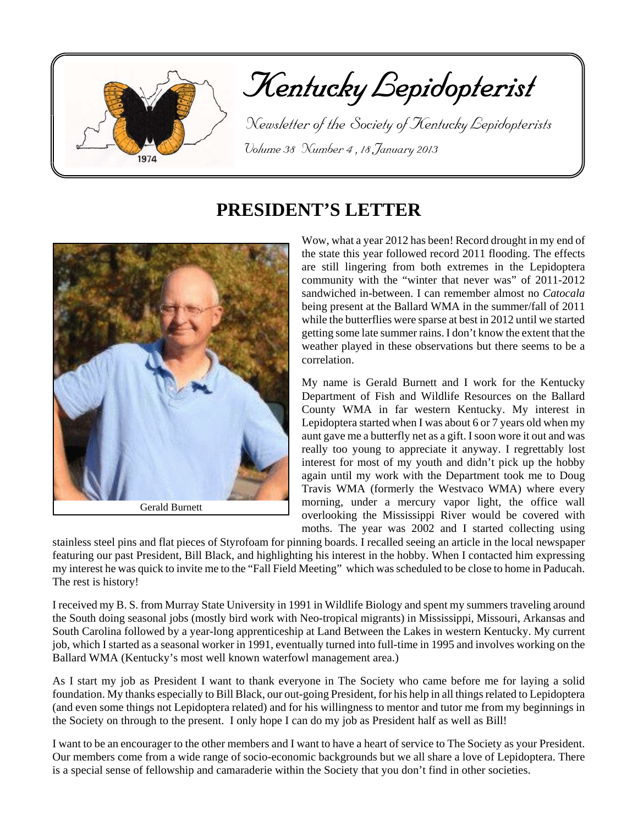

# Kentucky Lepidopterist

 Newsletter of the Society of Kentucky Lepidopterists Volume 38 Number 4 , 18 January 2013

# **PRESIDENT'S LETTER**



Gerald Burnett

Wow, what a year 2012 has been! Record drought in my end of the state this year followed record 2011 flooding. The effects are still lingering from both extremes in the Lepidoptera community with the "winter that never was" of 2011-2012 sandwiched in-between. I can remember almost no *Catocala* being present at the Ballard WMA in the summer/fall of 2011 while the butterflies were sparse at best in 2012 until we started getting some late summer rains. I don't know the extent that the weather played in these observations but there seems to be a correlation.

My name is Gerald Burnett and I work for the Kentucky Department of Fish and Wildlife Resources on the Ballard County WMA in far western Kentucky. My interest in Lepidoptera started when I was about 6 or 7 years old when my aunt gave me a butterfly net as a gift. I soon wore it out and was really too young to appreciate it anyway. I regrettably lost interest for most of my youth and didn't pick up the hobby again until my work with the Department took me to Doug Travis WMA (formerly the Westvaco WMA) where every morning, under a mercury vapor light, the office wall overlooking the Mississippi River would be covered with moths. The year was 2002 and I started collecting using

stainless steel pins and flat pieces of Styrofoam for pinning boards. I recalled seeing an article in the local newspaper featuring our past President, Bill Black, and highlighting his interest in the hobby. When I contacted him expressing my interest he was quick to invite me to the "Fall Field Meeting" which was scheduled to be close to home in Paducah. The rest is history!

I received my B. S. from Murray State University in 1991 in Wildlife Biology and spent my summers traveling around the South doing seasonal jobs (mostly bird work with Neo-tropical migrants) in Mississippi, Missouri, Arkansas and South Carolina followed by a year-long apprenticeship at Land Between the Lakes in western Kentucky. My current job, which I started as a seasonal worker in 1991, eventually turned into full-time in 1995 and involves working on the Ballard WMA (Kentucky's most well known waterfowl management area.)

As I start my job as President I want to thank everyone in The Society who came before me for laying a solid foundation. My thanks especially to Bill Black, our out-going President, for his help in all things related to Lepidoptera (and even some things not Lepidoptera related) and for his willingness to mentor and tutor me from my beginnings in the Society on through to the present. I only hope I can do my job as President half as well as Bill!

I want to be an encourager to the other members and I want to have a heart of service to The Society as your President. Our members come from a wide range of socio-economic backgrounds but we all share a love of Lepidoptera. There is a special sense of fellowship and camaraderie within the Society that you don't find in other societies.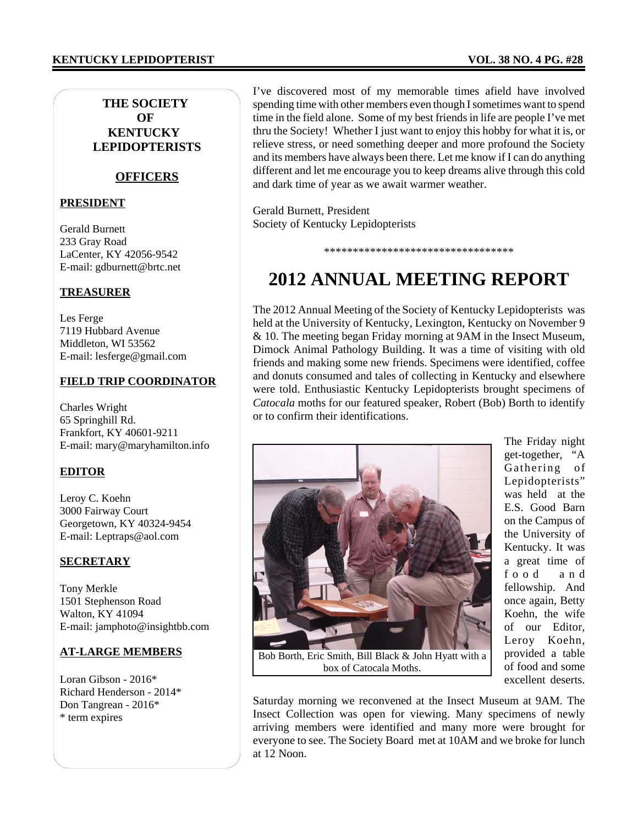### **KENTUCKY LEPIDOPTERIST VOL. 38 NO. 4 PG. #28**

### **THE SOCIETY OF KENTUCKY LEPIDOPTERISTS**

### **OFFICERS**

### **PRESIDENT**

Gerald Burnett 233 Gray Road LaCenter, KY 42056-9542 E-mail: gdburnett@brtc.net

### **TREASURER**

Les Ferge 7119 Hubbard Avenue Middleton, WI 53562 E-mail: lesferge@gmail.com

#### **FIELD TRIP COORDINATOR**

Charles Wright 65 Springhill Rd. Frankfort, KY 40601-9211 E-mail: mary@maryhamilton.info

### **EDITOR**

Leroy C. Koehn 3000 Fairway Court Georgetown, KY 40324-9454 E-mail: Leptraps@aol.com

### **SECRETARY**

Tony Merkle 1501 Stephenson Road Walton, KY 41094 E-mail: jamphoto@insightbb.com

### **AT-LARGE MEMBERS**

Loran Gibson - 2016\* Richard Henderson - 2014\* Don Tangrean - 2016\* \* term expires

I've discovered most of my memorable times afield have involved spending time with other members even though I sometimes want to spend time in the field alone. Some of my best friends in life are people I've met thru the Society! Whether I just want to enjoy this hobby for what it is, or relieve stress, or need something deeper and more profound the Society and its members have always been there. Let me know if I can do anything different and let me encourage you to keep dreams alive through this cold and dark time of year as we await warmer weather.

Gerald Burnett, President Society of Kentucky Lepidopterists

# **2012 ANNUAL MEETING REPORT**

\*\*\*\*\*\*\*\*\*\*\*\*\*\*\*\*\*\*\*\*\*\*\*\*\*\*\*\*\*\*\*\*\*

The 2012 Annual Meeting of the Society of Kentucky Lepidopterists was held at the University of Kentucky, Lexington, Kentucky on November 9 & 10. The meeting began Friday morning at 9AM in the Insect Museum, Dimock Animal Pathology Building. It was a time of visiting with old friends and making some new friends. Specimens were identified, coffee and donuts consumed and tales of collecting in Kentucky and elsewhere were told. Enthusiastic Kentucky Lepidopterists brought specimens of *Catocala* moths for our featured speaker, Robert (Bob) Borth to identify or to confirm their identifications.



Bob Borth, Eric Smith, Bill Black & John Hyatt with a box of Catocala Moths.

The Friday night get-together, "A Gathering of Lepidopterists" was held at the E.S. Good Barn on the Campus of the University of Kentucky. It was a great time of food and fellowship. And once again, Betty Koehn, the wife of our Editor, Leroy Koehn, provided a table of food and some excellent deserts.

Saturday morning we reconvened at the Insect Museum at 9AM. The Insect Collection was open for viewing. Many specimens of newly arriving members were identified and many more were brought for everyone to see. The Society Board met at 10AM and we broke for lunch at 12 Noon.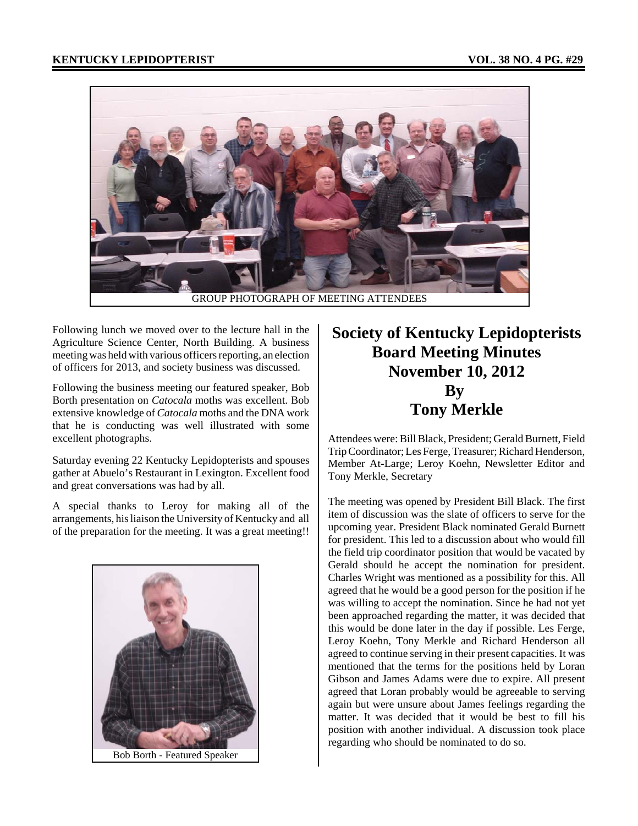

Following lunch we moved over to the lecture hall in the Agriculture Science Center, North Building. A business meeting was held with various officers reporting, an election of officers for 2013, and society business was discussed.

Following the business meeting our featured speaker, Bob Borth presentation on *Catocala* moths was excellent. Bob extensive knowledge of *Catocala* moths and the DNA work that he is conducting was well illustrated with some excellent photographs.

Saturday evening 22 Kentucky Lepidopterists and spouses gather at Abuelo's Restaurant in Lexington. Excellent food and great conversations was had by all.

A special thanks to Leroy for making all of the arrangements, his liaison the University of Kentucky and all of the preparation for the meeting. It was a great meeting!!



# **Society of Kentucky Lepidopterists Board Meeting Minutes November 10, 2012 By Tony Merkle**

Attendees were: Bill Black, President; Gerald Burnett, Field Trip Coordinator; Les Ferge, Treasurer; Richard Henderson, Member At-Large; Leroy Koehn, Newsletter Editor and Tony Merkle, Secretary

The meeting was opened by President Bill Black. The first item of discussion was the slate of officers to serve for the upcoming year. President Black nominated Gerald Burnett for president. This led to a discussion about who would fill the field trip coordinator position that would be vacated by Gerald should he accept the nomination for president. Charles Wright was mentioned as a possibility for this. All agreed that he would be a good person for the position if he was willing to accept the nomination. Since he had not yet been approached regarding the matter, it was decided that this would be done later in the day if possible. Les Ferge, Leroy Koehn, Tony Merkle and Richard Henderson all agreed to continue serving in their present capacities. It was mentioned that the terms for the positions held by Loran Gibson and James Adams were due to expire. All present agreed that Loran probably would be agreeable to serving again but were unsure about James feelings regarding the matter. It was decided that it would be best to fill his position with another individual. A discussion took place regarding who should be nominated to do so.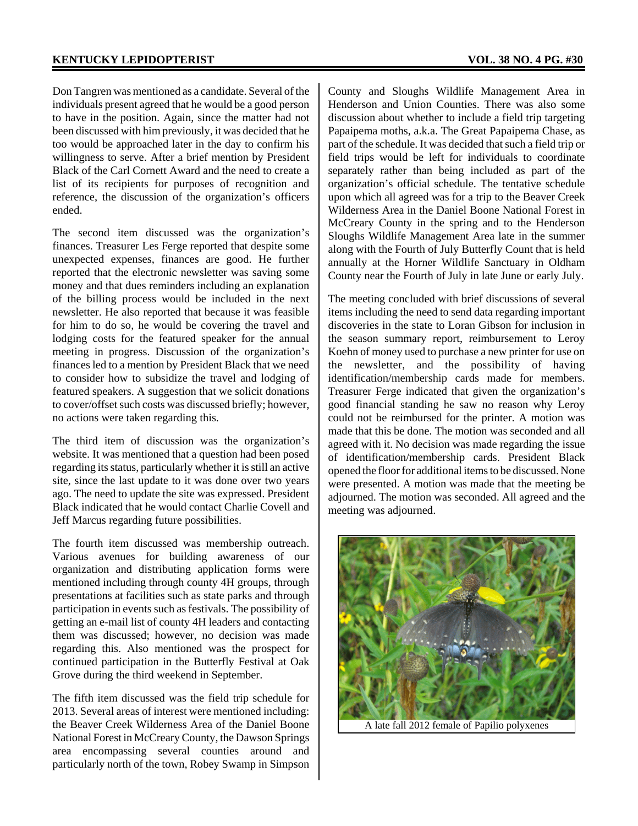Don Tangren was mentioned as a candidate. Several of the individuals present agreed that he would be a good person to have in the position. Again, since the matter had not been discussed with him previously, it was decided that he too would be approached later in the day to confirm his willingness to serve. After a brief mention by President Black of the Carl Cornett Award and the need to create a list of its recipients for purposes of recognition and reference, the discussion of the organization's officers ended.

The second item discussed was the organization's finances. Treasurer Les Ferge reported that despite some unexpected expenses, finances are good. He further reported that the electronic newsletter was saving some money and that dues reminders including an explanation of the billing process would be included in the next newsletter. He also reported that because it was feasible for him to do so, he would be covering the travel and lodging costs for the featured speaker for the annual meeting in progress. Discussion of the organization's finances led to a mention by President Black that we need to consider how to subsidize the travel and lodging of featured speakers. A suggestion that we solicit donations to cover/offset such costs was discussed briefly; however, no actions were taken regarding this.

The third item of discussion was the organization's website. It was mentioned that a question had been posed regarding its status, particularly whether it is still an active site, since the last update to it was done over two years ago. The need to update the site was expressed. President Black indicated that he would contact Charlie Covell and Jeff Marcus regarding future possibilities.

The fourth item discussed was membership outreach. Various avenues for building awareness of our organization and distributing application forms were mentioned including through county 4H groups, through presentations at facilities such as state parks and through participation in events such as festivals. The possibility of getting an e-mail list of county 4H leaders and contacting them was discussed; however, no decision was made regarding this. Also mentioned was the prospect for continued participation in the Butterfly Festival at Oak Grove during the third weekend in September.

The fifth item discussed was the field trip schedule for 2013. Several areas of interest were mentioned including: the Beaver Creek Wilderness Area of the Daniel Boone National Forest in McCreary County, the Dawson Springs area encompassing several counties around and particularly north of the town, Robey Swamp in Simpson

County and Sloughs Wildlife Management Area in Henderson and Union Counties. There was also some discussion about whether to include a field trip targeting Papaipema moths, a.k.a. The Great Papaipema Chase, as part of the schedule. It was decided that such a field trip or field trips would be left for individuals to coordinate separately rather than being included as part of the organization's official schedule. The tentative schedule upon which all agreed was for a trip to the Beaver Creek Wilderness Area in the Daniel Boone National Forest in McCreary County in the spring and to the Henderson Sloughs Wildlife Management Area late in the summer along with the Fourth of July Butterfly Count that is held annually at the Horner Wildlife Sanctuary in Oldham County near the Fourth of July in late June or early July.

The meeting concluded with brief discussions of several items including the need to send data regarding important discoveries in the state to Loran Gibson for inclusion in the season summary report, reimbursement to Leroy Koehn of money used to purchase a new printer for use on the newsletter, and the possibility of having identification/membership cards made for members. Treasurer Ferge indicated that given the organization's good financial standing he saw no reason why Leroy could not be reimbursed for the printer. A motion was made that this be done. The motion was seconded and all agreed with it. No decision was made regarding the issue of identification/membership cards. President Black opened the floor for additional items to be discussed. None were presented. A motion was made that the meeting be adjourned. The motion was seconded. All agreed and the meeting was adjourned.



A late fall 2012 female of Papilio polyxenes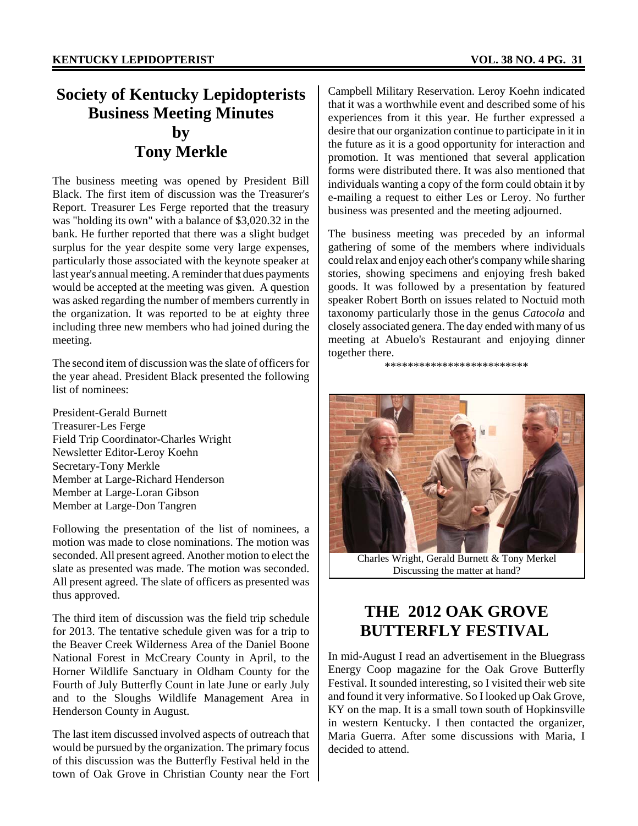# **Society of Kentucky Lepidopterists Business Meeting Minutes by Tony Merkle**

The business meeting was opened by President Bill Black. The first item of discussion was the Treasurer's Report. Treasurer Les Ferge reported that the treasury was "holding its own" with a balance of \$3,020.32 in the bank. He further reported that there was a slight budget surplus for the year despite some very large expenses, particularly those associated with the keynote speaker at last year's annual meeting. A reminder that dues payments would be accepted at the meeting was given. A question was asked regarding the number of members currently in the organization. It was reported to be at eighty three including three new members who had joined during the meeting.

The second item of discussion was the slate of officers for the year ahead. President Black presented the following list of nominees:

President-Gerald Burnett Treasurer-Les Ferge Field Trip Coordinator-Charles Wright Newsletter Editor-Leroy Koehn Secretary-Tony Merkle Member at Large-Richard Henderson Member at Large-Loran Gibson Member at Large-Don Tangren

Following the presentation of the list of nominees, a motion was made to close nominations. The motion was seconded. All present agreed. Another motion to elect the slate as presented was made. The motion was seconded. All present agreed. The slate of officers as presented was thus approved.

The third item of discussion was the field trip schedule for 2013. The tentative schedule given was for a trip to the Beaver Creek Wilderness Area of the Daniel Boone National Forest in McCreary County in April, to the Horner Wildlife Sanctuary in Oldham County for the Fourth of July Butterfly Count in late June or early July and to the Sloughs Wildlife Management Area in Henderson County in August.

The last item discussed involved aspects of outreach that would be pursued by the organization. The primary focus of this discussion was the Butterfly Festival held in the town of Oak Grove in Christian County near the Fort Campbell Military Reservation. Leroy Koehn indicated that it was a worthwhile event and described some of his experiences from it this year. He further expressed a desire that our organization continue to participate in it in the future as it is a good opportunity for interaction and promotion. It was mentioned that several application forms were distributed there. It was also mentioned that individuals wanting a copy of the form could obtain it by e-mailing a request to either Les or Leroy. No further business was presented and the meeting adjourned.

The business meeting was preceded by an informal gathering of some of the members where individuals could relax and enjoy each other's company while sharing stories, showing specimens and enjoying fresh baked goods. It was followed by a presentation by featured speaker Robert Borth on issues related to Noctuid moth taxonomy particularly those in the genus *Catocola* and closely associated genera. The day ended with many of us meeting at Abuelo's Restaurant and enjoying dinner together there.

\*\*\*\*\*\*\*\*\*\*\*\*\*\*\*\*\*\*\*\*\*\*\*\*\*



Charles Wright, Gerald Burnett & Tony Merkel Discussing the matter at hand?

# **THE 2012 OAK GROVE BUTTERFLY FESTIVAL**

In mid-August I read an advertisement in the Bluegrass Energy Coop magazine for the Oak Grove Butterfly Festival. It sounded interesting, so I visited their web site and found it very informative. So I looked up Oak Grove, KY on the map. It is a small town south of Hopkinsville in western Kentucky. I then contacted the organizer, Maria Guerra. After some discussions with Maria, I decided to attend.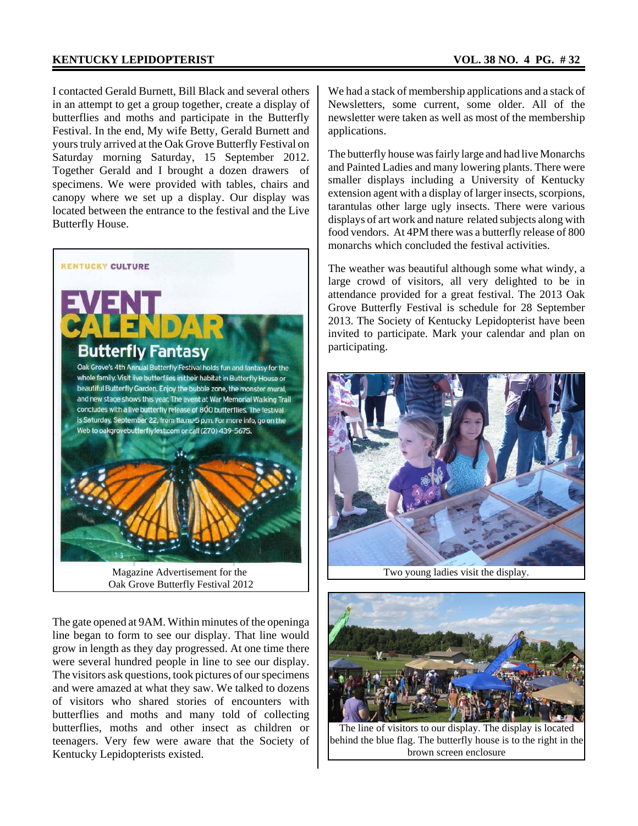### **KENTUCKY LEPIDOPTERIST** VOL. 38 NO. 4 PG. #32

I contacted Gerald Burnett, Bill Black and several others in an attempt to get a group together, create a display of butterflies and moths and participate in the Butterfly Festival. In the end, My wife Betty, Gerald Burnett and yours truly arrived at the Oak Grove Butterfly Festival on Saturday morning Saturday, 15 September 2012. Together Gerald and I brought a dozen drawers of specimens. We were provided with tables, chairs and canopy where we set up a display. Our display was located between the entrance to the festival and the Live Butterfly House.



Magazine Advertisement for the Oak Grove Butterfly Festival 2012

The gate opened at 9AM. Within minutes of the openinga line began to form to see our display. That line would grow in length as they day progressed. At one time there were several hundred people in line to see our display. The visitors ask questions, took pictures of our specimens and were amazed at what they saw. We talked to dozens of visitors who shared stories of encounters with butterflies and moths and many told of collecting butterflies, moths and other insect as children or teenagers. Very few were aware that the Society of Kentucky Lepidopterists existed.

We had a stack of membership applications and a stack of Newsletters, some current, some older. All of the newsletter were taken as well as most of the membership applications.

The butterfly house was fairly large and had live Monarchs and Painted Ladies and many lowering plants. There were smaller displays including a University of Kentucky extension agent with a display of larger insects, scorpions, tarantulas other large ugly insects. There were various displays of art work and nature related subjects along with food vendors. At 4PM there was a butterfly release of 800 monarchs which concluded the festival activities.

The weather was beautiful although some what windy, a large crowd of visitors, all very delighted to be in attendance provided for a great festival. The 2013 Oak Grove Butterfly Festival is schedule for 28 September 2013. The Society of Kentucky Lepidopterist have been invited to participate. Mark your calendar and plan on participating.



Two young ladies visit the display.



The line of visitors to our display. The display is located behind the blue flag. The butterfly house is to the right in the brown screen enclosure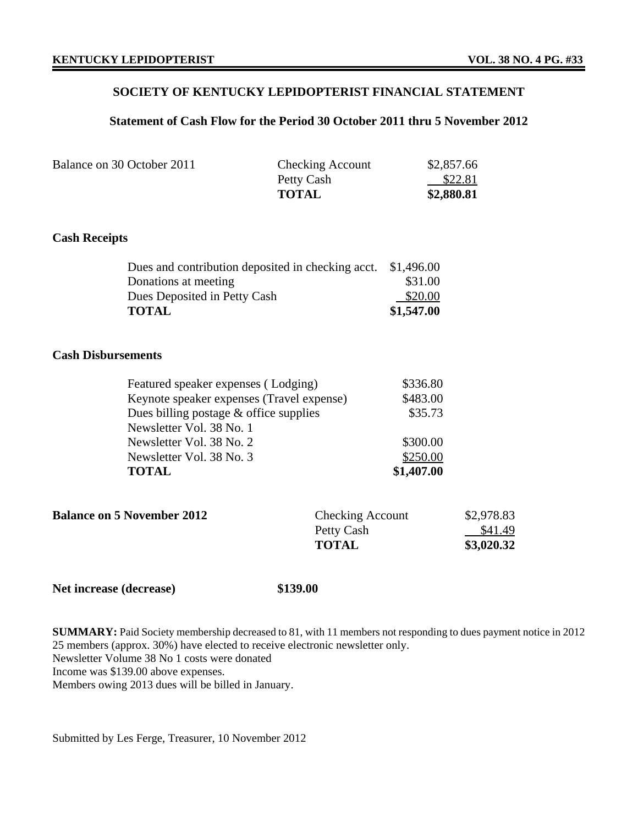### **SOCIETY OF KENTUCKY LEPIDOPTERIST FINANCIAL STATEMENT**

### **Statement of Cash Flow for the Period 30 October 2011 thru 5 November 2012**

| Balance on 30 October 2011 | <b>Checking Account</b> | \$2,857.66 |
|----------------------------|-------------------------|------------|
|                            | Petty Cash              | \$22.81    |
|                            | <b>TOTAL</b>            | \$2,880.81 |

### **Cash Receipts**

| Dues and contribution deposited in checking acct. \$1,496.00 |            |
|--------------------------------------------------------------|------------|
| Donations at meeting                                         | \$31.00    |
| Dues Deposited in Petty Cash                                 | \$20.00    |
| <b>TOTAL</b>                                                 | \$1,547.00 |

### **Cash Disbursements**

| <b>TOTAL</b>                              | \$1,407.00 |
|-------------------------------------------|------------|
| Newsletter Vol. 38 No. 3                  | \$250.00   |
| Newsletter Vol. 38 No. 2                  | \$300.00   |
| Newsletter Vol. 38 No. 1                  |            |
| Dues billing postage $\&$ office supplies | \$35.73    |
| Keynote speaker expenses (Travel expense) | \$483.00   |
| Featured speaker expenses (Lodging)       | \$336.80   |

| <b>Balance on 5 November 2012</b> | <b>Checking Account</b> | \$2,978.83 |
|-----------------------------------|-------------------------|------------|
|                                   | Petty Cash              | \$41.49    |
|                                   | <b>TOTAL</b>            | \$3,020.32 |
|                                   |                         |            |

#### Net increase (decrease) \$139.00

**SUMMARY:** Paid Society membership decreased to 81, with 11 members not responding to dues payment notice in 2012 25 members (approx. 30%) have elected to receive electronic newsletter only. Newsletter Volume 38 No 1 costs were donated Income was \$139.00 above expenses. Members owing 2013 dues will be billed in January.

Submitted by Les Ferge, Treasurer, 10 November 2012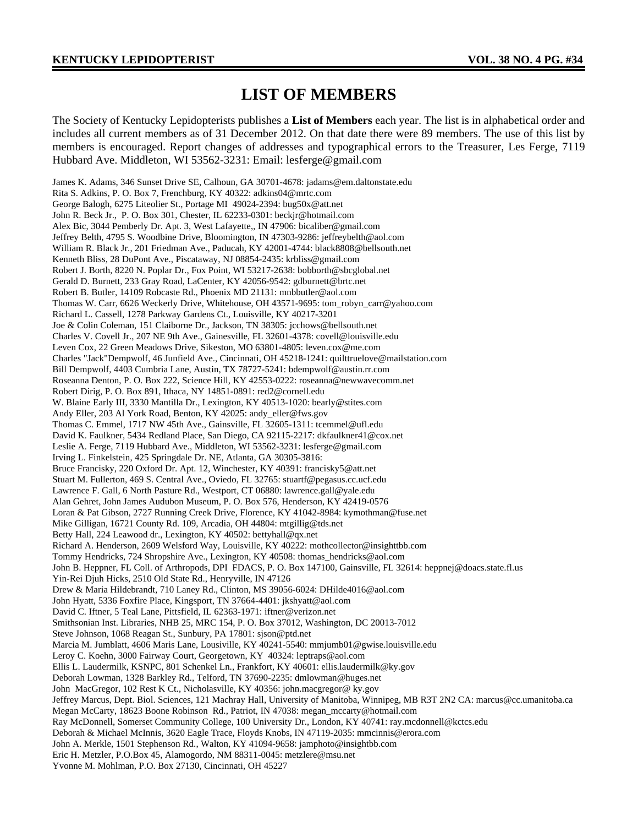### **LIST OF MEMBERS**

The Society of Kentucky Lepidopterists publishes a **List of Members** each year. The list is in alphabetical order and includes all current members as of 31 December 2012. On that date there were 89 members. The use of this list by members is encouraged. Report changes of addresses and typographical errors to the Treasurer, Les Ferge, 7119 Hubbard Ave. Middleton, WI 53562-3231: Email: lesferge@gmail.com

James K. Adams, 346 Sunset Drive SE, Calhoun, GA 30701-4678: jadams@em.daltonstate.edu Rita S. Adkins, P. O. Box 7, Frenchburg, KY 40322: adkins04@mrtc.com George Balogh, 6275 Liteolier St., Portage MI 49024-2394: bug50x@att.net John R. Beck Jr., P. O. Box 301, Chester, IL 62233-0301: beckjr@hotmail.com Alex Bic, 3044 Pemberly Dr. Apt. 3, West Lafayette,, IN 47906: bicaliber@gmail.com Jeffrey Belth, 4795 S. Woodbine Drive, Bloomington, IN 47303-9286: jeffreybelth@aol.com William R. Black Jr., 201 Friedman Ave., Paducah, KY 42001-4744: black8808@bellsouth.net Kenneth Bliss, 28 DuPont Ave., Piscataway, NJ 08854-2435: krbliss@gmail.com Robert J. Borth, 8220 N. Poplar Dr., Fox Point, WI 53217-2638: bobborth@sbcglobal.net Gerald D. Burnett, 233 Gray Road, LaCenter, KY 42056-9542: gdburnett@brtc.net Robert B. Butler, 14109 Robcaste Rd., Phoenix MD 21131: mnbbutler@aol.com Thomas W. Carr, 6626 Weckerly Drive, Whitehouse, OH 43571-9695: tom\_robyn\_carr@yahoo.com Richard L. Cassell, 1278 Parkway Gardens Ct., Louisville, KY 40217-3201 Joe & Colin Coleman, 151 Claiborne Dr., Jackson, TN 38305: jcchows@bellsouth.net Charles V. Covell Jr., 207 NE 9th Ave., Gainesville, FL 32601-4378: covell@louisville.edu Leven Cox, 22 Green Meadows Drive, Sikeston, MO 63801-4805: leven.cox@me.com Charles "Jack"Dempwolf, 46 Junfield Ave., Cincinnati, OH 45218-1241: quilttruelove@mailstation.com Bill Dempwolf, 4403 Cumbria Lane, Austin, TX 78727-5241: bdempwolf@austin.rr.com Roseanna Denton, P. O. Box 222, Science Hill, KY 42553-0222: roseanna@newwavecomm.net Robert Dirig, P. O. Box 891, Ithaca, NY 14851-0891: red2@cornell.edu W. Blaine Early III, 3330 Mantilla Dr., Lexington, KY 40513-1020: bearly@stites.com Andy Eller, 203 Al York Road, Benton, KY 42025: andy\_eller@fws.gov Thomas C. Emmel, 1717 NW 45th Ave., Gainsville, FL 32605-1311: tcemmel@ufl.edu David K. Faulkner, 5434 Redland Place, San Diego, CA 92115-2217: dkfaulkner41@cox.net Leslie A. Ferge, 7119 Hubbard Ave., Middleton, WI 53562-3231: lesferge@gmail.com Irving L. Finkelstein, 425 Springdale Dr. NE, Atlanta, GA 30305-3816: Bruce Francisky, 220 Oxford Dr. Apt. 12, Winchester, KY 40391: francisky5@att.net Stuart M. Fullerton, 469 S. Central Ave., Oviedo, FL 32765: stuartf@pegasus.cc.ucf.edu Lawrence F. Gall, 6 North Pasture Rd., Westport, CT 06880: lawrence.gall@yale.edu Alan Gehret, John James Audubon Museum, P. O. Box 576, Henderson, KY 42419-0576 Loran & Pat Gibson, 2727 Running Creek Drive, Florence, KY 41042-8984: kymothman@fuse.net Mike Gilligan, 16721 County Rd. 109, Arcadia, OH 44804: mtgillig@tds.net Betty Hall, 224 Leawood dr., Lexington, KY 40502: bettyhall@qx.net Richard A. Henderson, 2609 Welsford Way, Louisville, KY 40222: mothcollector@insighttbb.com Tommy Hendricks, 724 Shropshire Ave., Lexington, KY 40508: thomas\_hendricks@aol.com John B. Heppner, FL Coll. of Arthropods, DPI FDACS, P. O. Box 147100, Gainsville, FL 32614: heppnej@doacs.state.fl.us Yin-Rei Djuh Hicks, 2510 Old State Rd., Henryville, IN 47126 Drew & Maria Hildebrandt, 710 Laney Rd., Clinton, MS 39056-6024: DHilde4016@aol.com John Hyatt, 5336 Foxfire Place, Kingsport, TN 37664-4401: jkshyatt@aol.com David C. Iftner, 5 Teal Lane, Pittsfield, IL 62363-1971: iftner@verizon.net Smithsonian Inst. Libraries, NHB 25, MRC 154, P. O. Box 37012, Washington, DC 20013-7012 Steve Johnson, 1068 Reagan St., Sunbury, PA 17801: sjson@ptd.net Marcia M. Jumblatt, 4606 Maris Lane, Lousiville, KY 40241-5540: mmjumb01@gwise.louisville.edu Leroy C. Koehn, 3000 Fairway Court, Georgetown, KY 40324: leptraps@aol.com Ellis L. Laudermilk, KSNPC, 801 Schenkel Ln., Frankfort, KY 40601: ellis.laudermilk@ky.gov Deborah Lowman, 1328 Barkley Rd., Telford, TN 37690-2235: dmlowman@huges.net John MacGregor, 102 Rest K Ct., Nicholasville, KY 40356: john.macgregor@ ky.gov Jeffrey Marcus, Dept. Biol. Sciences, 121 Machray Hall, University of Manitoba, Winnipeg, MB R3T 2N2 CA: marcus@cc.umanitoba.ca Megan McCarty, 18623 Boone Robinson Rd., Patriot, IN 47038: megan\_mccarty@hotmail.com Ray McDonnell, Somerset Community College, 100 University Dr., London, KY 40741: ray.mcdonnell@kctcs.edu Deborah & Michael McInnis, 3620 Eagle Trace, Floyds Knobs, IN 47119-2035: mmcinnis@erora.com John A. Merkle, 1501 Stephenson Rd., Walton, KY 41094-9658: jamphoto@insightbb.com Eric H. Metzler, P.O.Box 45, Alamogordo, NM 88311-0045: metzlere@msu.net Yvonne M. Mohlman, P.O. Box 27130, Cincinnati, OH 45227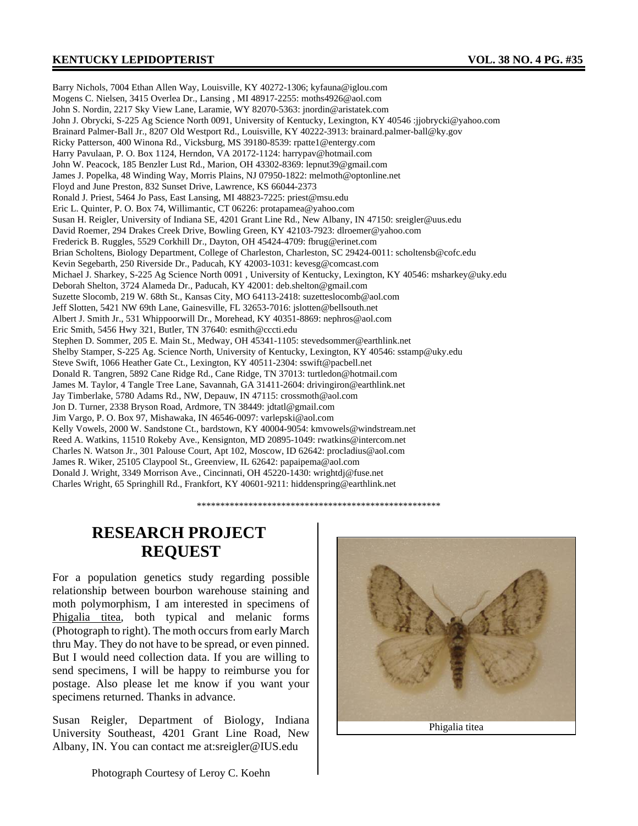### **KENTUCKY LEPIDOPTERIST VOL. 38 NO. 4 PG. #35**

Barry Nichols, 7004 Ethan Allen Way, Louisville, KY 40272-1306; kyfauna@iglou.com Mogens C. Nielsen, 3415 Overlea Dr., Lansing , MI 48917-2255: moths4926@aol.com John S. Nordin, 2217 Sky View Lane, Laramie, WY 82070-5363: jnordin@aristatek.com John J. Obrycki, S-225 Ag Science North 0091, University of Kentucky, Lexington, KY 40546 :jjobrycki@yahoo.com Brainard Palmer-Ball Jr., 8207 Old Westport Rd., Louisville, KY 40222-3913: brainard.palmer-ball@ky.gov Ricky Patterson, 400 Winona Rd., Vicksburg, MS 39180-8539: rpatte1@entergy.com Harry Pavulaan, P. O. Box 1124, Herndon, VA 20172-1124: harrypav@hotmail.com John W. Peacock, 185 Benzler Lust Rd., Marion, OH 43302-8369: lepnut39@gmail.com James J. Popelka, 48 Winding Way, Morris Plains, NJ 07950-1822: melmoth@optonline.net Floyd and June Preston, 832 Sunset Drive, Lawrence, KS 66044-2373 Ronald J. Priest, 5464 Jo Pass, East Lansing, MI 48823-7225: priest@msu.edu Eric L. Quinter, P. O. Box 74, Willimantic, CT 06226: protapamea@yahoo.com Susan H. Reigler, University of Indiana SE, 4201 Grant Line Rd., New Albany, IN 47150: sreigler@uus.edu David Roemer, 294 Drakes Creek Drive, Bowling Green, KY 42103-7923: dlroemer@yahoo.com Frederick B. Ruggles, 5529 Corkhill Dr., Dayton, OH 45424-4709: fbrug@erinet.com Brian Scholtens, Biology Department, College of Charleston, Charleston, SC 29424-0011: scholtensb@cofc.edu Kevin Segebarth, 250 Riverside Dr., Paducah, KY 42003-1031: kevesg@comcast.com Michael J. Sharkey, S-225 Ag Science North 0091 , University of Kentucky, Lexington, KY 40546: msharkey@uky.edu Deborah Shelton, 3724 Alameda Dr., Paducah, KY 42001: deb.shelton@gmail.com Suzette Slocomb, 219 W. 68th St., Kansas City, MO 64113-2418: suzetteslocomb@aol.com Jeff Slotten, 5421 NW 69th Lane, Gainesville, FL 32653-7016: jslotten@bellsouth.net Albert J. Smith Jr., 531 Whippoorwill Dr., Morehead, KY 40351-8869: nephros@aol.com Eric Smith, 5456 Hwy 321, Butler, TN 37640: esmith@cccti.edu Stephen D. Sommer, 205 E. Main St., Medway, OH 45341-1105: stevedsommer@earthlink.net Shelby Stamper, S-225 Ag. Science North, University of Kentucky, Lexington, KY 40546: sstamp@uky.edu Steve Swift, 1066 Heather Gate Ct., Lexington, KY 40511-2304: sswift@pacbell.net Donald R. Tangren, 5892 Cane Ridge Rd., Cane Ridge, TN 37013: turtledon@hotmail.com James M. Taylor, 4 Tangle Tree Lane, Savannah, GA 31411-2604: drivingiron@earthlink.net Jay Timberlake, 5780 Adams Rd., NW, Depauw, IN 47115: crossmoth@aol.com Jon D. Turner, 2338 Bryson Road, Ardmore, TN 38449: jdtatl@gmail.com Jim Vargo, P. O. Box 97, Mishawaka, IN 46546-0097: varlepski@aol.com Kelly Vowels, 2000 W. Sandstone Ct., bardstown, KY 40004-9054: kmvowels@windstream.net Reed A. Watkins, 11510 Rokeby Ave., Kensignton, MD 20895-1049: rwatkins@intercom.net Charles N. Watson Jr., 301 Palouse Court, Apt 102, Moscow, ID 62642: procladius@aol.com James R. Wiker, 25105 Claypool St., Greenview, IL 62642: papaipema@aol.com Donald J. Wright, 3349 Morrison Ave., Cincinnati, OH 45220-1430: wrightdj@fuse.net Charles Wright, 65 Springhill Rd., Frankfort, KY 40601-9211: hiddenspring@earthlink.net

\*\*\*\*\*\*\*\*\*\*\*\*\*\*\*\*\*\*\*\*\*\*\*\*\*\*\*\*\*\*\*\*\*\*\*\*\*\*\*\*\*\*\*\*\*\*\*\*\*\*\*\*

### **RESEARCH PROJECT REQUEST**

For a population genetics study regarding possible relationship between bourbon warehouse staining and moth polymorphism, I am interested in specimens of Phigalia titea, both typical and melanic forms (Photograph to right). The moth occurs from early March thru May. They do not have to be spread, or even pinned. But I would need collection data. If you are willing to send specimens, I will be happy to reimburse you for postage. Also please let me know if you want your specimens returned. Thanks in advance.

Susan Reigler, Department of Biology, Indiana University Southeast, 4201 Grant Line Road, New Albany, IN. You can contact me at:sreigler@IUS.edu